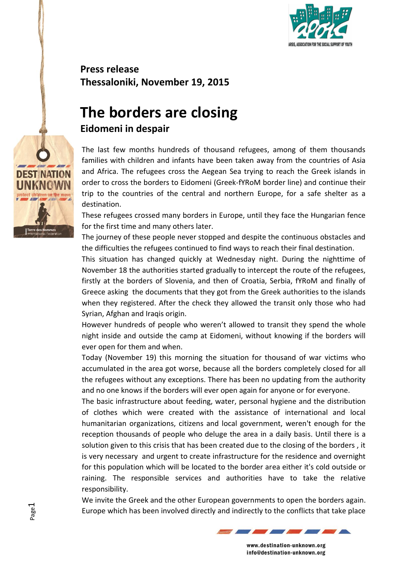

**Press release Thessaloniki, November 19, 2015**

## **The borders are closing Eidomeni in despair**

The last few months hundreds of thousand refugees, among of them thousands families with children and infants have been taken away from the countries of Asia and Africa. The refugees cross the Aegean Sea trying to reach the Greek islands in order to cross the borders to Eidomeni (Greek-fYRoM border line) and continue their trip to the countries of the central and northern Europe, for a safe shelter as a destination.

These refugees crossed many borders in Europe, until they face the Hungarian fence for the first time and many others later.

The journey of these people never stopped and despite the continuous obstacles and the difficulties the refugees continued to find ways to reach their final destination.

This situation has changed quickly at Wednesday night. During the nighttime of November 18 the authorities started gradually to intercept the route of the refugees, firstly at the borders of Slovenia, and then of Croatia, Serbia, fYRoM and finally of Greece asking the documents that they got from the Greek authorities to the islands when they registered. After the check they allowed the transit only those who had Syrian, Afghan and Iraqis origin.

However hundreds of people who weren't allowed to transit they spend the whole night inside and outside the camp at Eidomeni, without knowing if the borders will ever open for them and when.

Today (November 19) this morning the situation for thousand of war victims who accumulated in the area got worse, because all the borders completely closed for all the refugees without any exceptions. There has been no updating from the authority and no one knows if the borders will ever open again for anyone or for everyone.

The basic infrastructure about feeding, water, personal hygiene and the distribution of clothes which were created with the assistance of international and local humanitarian organizations, citizens and local government, weren't enough for the reception thousands of people who deluge the area in a daily basis. Until there is a solution given to this crisis that has been created due to the closing of the borders , it is very necessary and urgent to create infrastructure for the residence and overnight for this population which will be located to the border area either it's cold outside or raining. The responsible services and authorities have to take the relative responsibility.

We invite the Greek and the other European governments to open the borders again. Europe which has been involved directly and indirectly to the conflicts that take place



www.destination-unknown.org info@destination-unknown.org